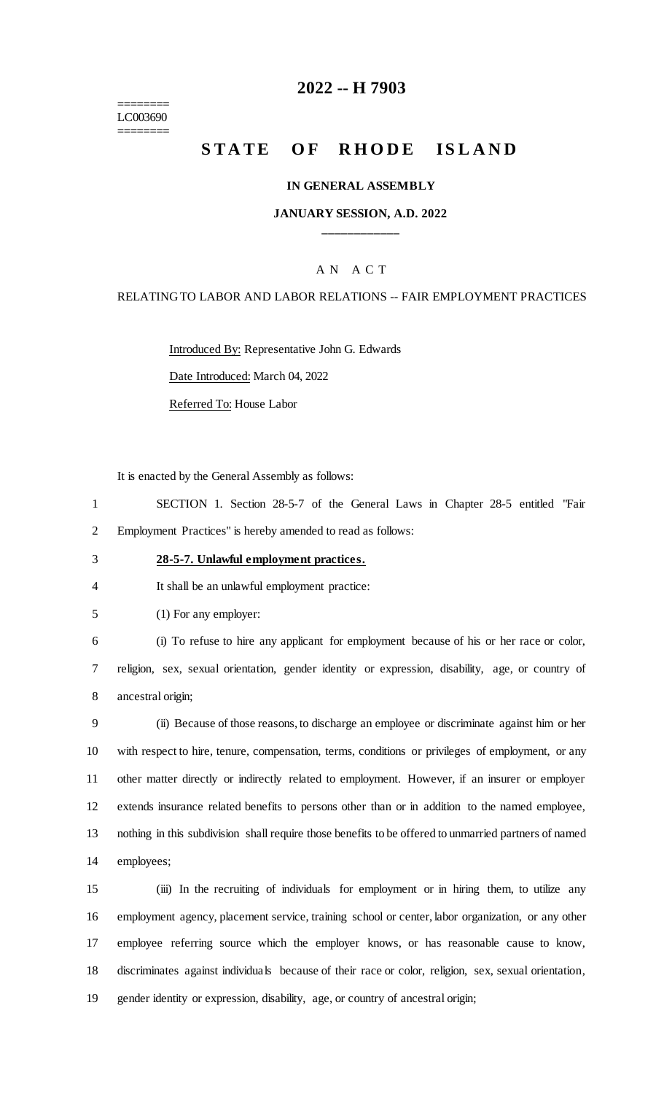======== LC003690 ========

# **-- H 7903**

# **STATE OF RHODE ISLAND**

#### **IN GENERAL ASSEMBLY**

#### **JANUARY SESSION, A.D. 2022 \_\_\_\_\_\_\_\_\_\_\_\_**

#### A N A C T

#### RELATING TO LABOR AND LABOR RELATIONS -- FAIR EMPLOYMENT PRACTICES

Introduced By: Representative John G. Edwards Date Introduced: March 04, 2022 Referred To: House Labor

It is enacted by the General Assembly as follows:

 SECTION 1. Section 28-5-7 of the General Laws in Chapter 28-5 entitled "Fair Employment Practices" is hereby amended to read as follows:

#### **28-5-7. Unlawful employment practices.**

It shall be an unlawful employment practice:

(1) For any employer:

 (i) To refuse to hire any applicant for employment because of his or her race or color, religion, sex, sexual orientation, gender identity or expression, disability, age, or country of ancestral origin;

 (ii) Because of those reasons, to discharge an employee or discriminate against him or her with respect to hire, tenure, compensation, terms, conditions or privileges of employment, or any other matter directly or indirectly related to employment. However, if an insurer or employer extends insurance related benefits to persons other than or in addition to the named employee, nothing in this subdivision shall require those benefits to be offered to unmarried partners of named employees;

 (iii) In the recruiting of individuals for employment or in hiring them, to utilize any employment agency, placement service, training school or center, labor organization, or any other employee referring source which the employer knows, or has reasonable cause to know, discriminates against individuals because of their race or color, religion, sex, sexual orientation, gender identity or expression, disability, age, or country of ancestral origin;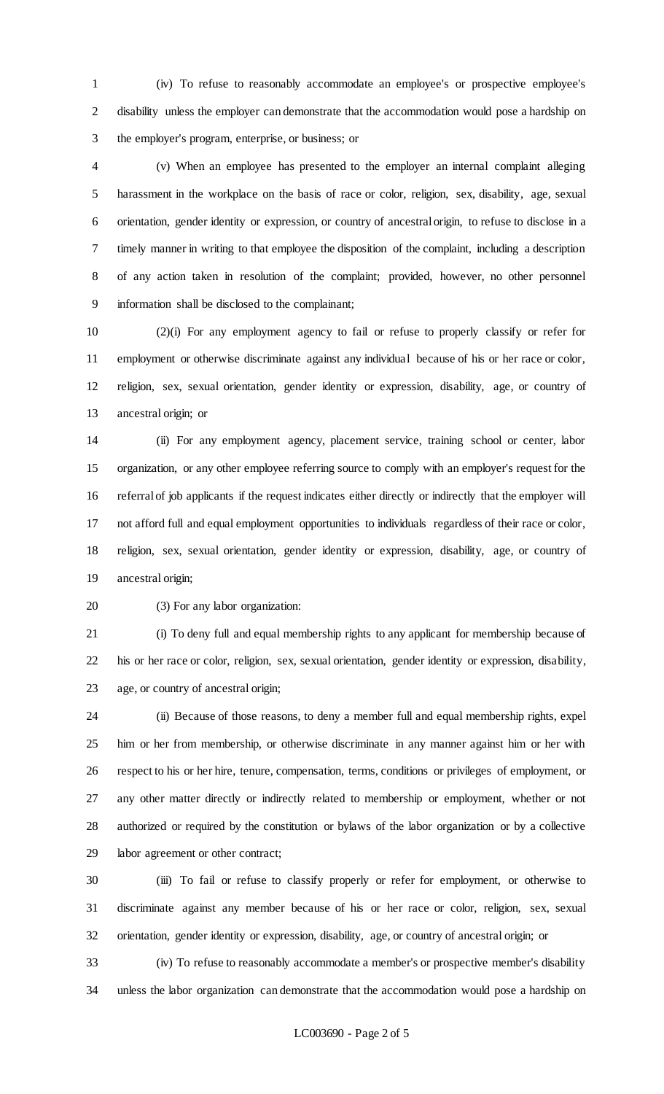(iv) To refuse to reasonably accommodate an employee's or prospective employee's disability unless the employer can demonstrate that the accommodation would pose a hardship on the employer's program, enterprise, or business; or

 (v) When an employee has presented to the employer an internal complaint alleging harassment in the workplace on the basis of race or color, religion, sex, disability, age, sexual orientation, gender identity or expression, or country of ancestral origin, to refuse to disclose in a timely manner in writing to that employee the disposition of the complaint, including a description of any action taken in resolution of the complaint; provided, however, no other personnel information shall be disclosed to the complainant;

 (2)(i) For any employment agency to fail or refuse to properly classify or refer for employment or otherwise discriminate against any individual because of his or her race or color, religion, sex, sexual orientation, gender identity or expression, disability, age, or country of ancestral origin; or

 (ii) For any employment agency, placement service, training school or center, labor organization, or any other employee referring source to comply with an employer's request for the referral of job applicants if the request indicates either directly or indirectly that the employer will not afford full and equal employment opportunities to individuals regardless of their race or color, religion, sex, sexual orientation, gender identity or expression, disability, age, or country of ancestral origin;

(3) For any labor organization:

 (i) To deny full and equal membership rights to any applicant for membership because of his or her race or color, religion, sex, sexual orientation, gender identity or expression, disability, age, or country of ancestral origin;

 (ii) Because of those reasons, to deny a member full and equal membership rights, expel him or her from membership, or otherwise discriminate in any manner against him or her with respect to his or her hire, tenure, compensation, terms, conditions or privileges of employment, or any other matter directly or indirectly related to membership or employment, whether or not authorized or required by the constitution or bylaws of the labor organization or by a collective labor agreement or other contract;

 (iii) To fail or refuse to classify properly or refer for employment, or otherwise to discriminate against any member because of his or her race or color, religion, sex, sexual orientation, gender identity or expression, disability, age, or country of ancestral origin; or

 (iv) To refuse to reasonably accommodate a member's or prospective member's disability unless the labor organization can demonstrate that the accommodation would pose a hardship on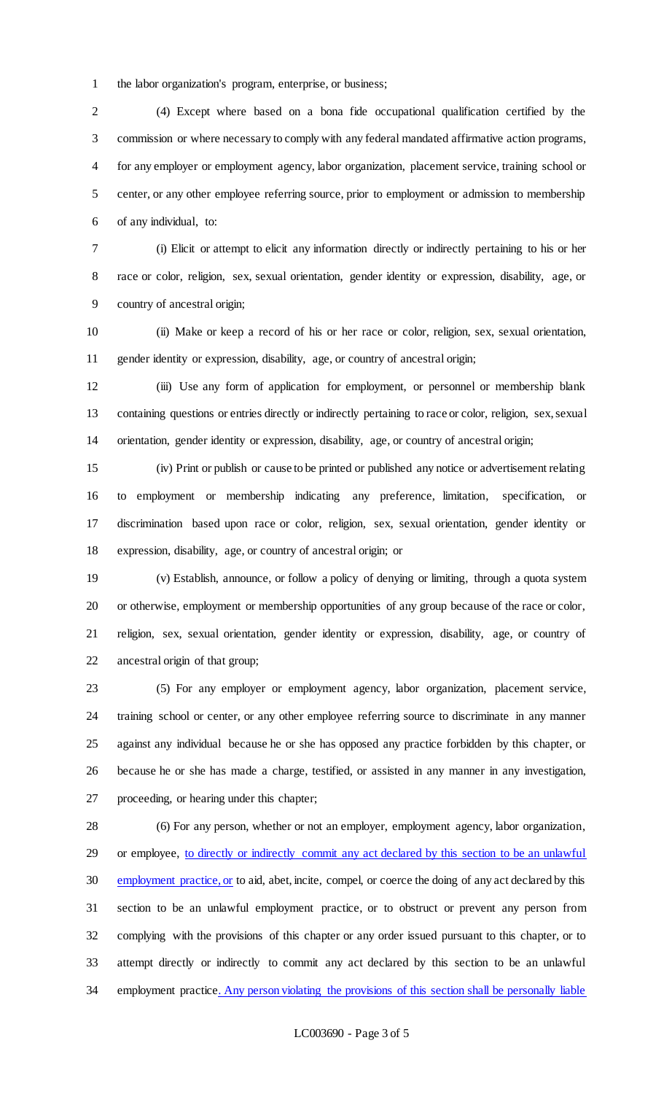the labor organization's program, enterprise, or business;

 (4) Except where based on a bona fide occupational qualification certified by the commission or where necessary to comply with any federal mandated affirmative action programs, for any employer or employment agency, labor organization, placement service, training school or center, or any other employee referring source, prior to employment or admission to membership of any individual, to:

 (i) Elicit or attempt to elicit any information directly or indirectly pertaining to his or her race or color, religion, sex, sexual orientation, gender identity or expression, disability, age, or country of ancestral origin;

 (ii) Make or keep a record of his or her race or color, religion, sex, sexual orientation, gender identity or expression, disability, age, or country of ancestral origin;

 (iii) Use any form of application for employment, or personnel or membership blank containing questions or entries directly or indirectly pertaining to race or color, religion, sex, sexual orientation, gender identity or expression, disability, age, or country of ancestral origin;

 (iv) Print or publish or cause to be printed or published any notice or advertisement relating to employment or membership indicating any preference, limitation, specification, or discrimination based upon race or color, religion, sex, sexual orientation, gender identity or expression, disability, age, or country of ancestral origin; or

 (v) Establish, announce, or follow a policy of denying or limiting, through a quota system or otherwise, employment or membership opportunities of any group because of the race or color, religion, sex, sexual orientation, gender identity or expression, disability, age, or country of ancestral origin of that group;

 (5) For any employer or employment agency, labor organization, placement service, training school or center, or any other employee referring source to discriminate in any manner against any individual because he or she has opposed any practice forbidden by this chapter, or because he or she has made a charge, testified, or assisted in any manner in any investigation, proceeding, or hearing under this chapter;

 (6) For any person, whether or not an employer, employment agency, labor organization, or employee, to directly or indirectly commit any act declared by this section to be an unlawful employment practice, or to aid, abet, incite, compel, or coerce the doing of any act declared by this section to be an unlawful employment practice, or to obstruct or prevent any person from complying with the provisions of this chapter or any order issued pursuant to this chapter, or to attempt directly or indirectly to commit any act declared by this section to be an unlawful employment practice. Any person violating the provisions of this section shall be personally liable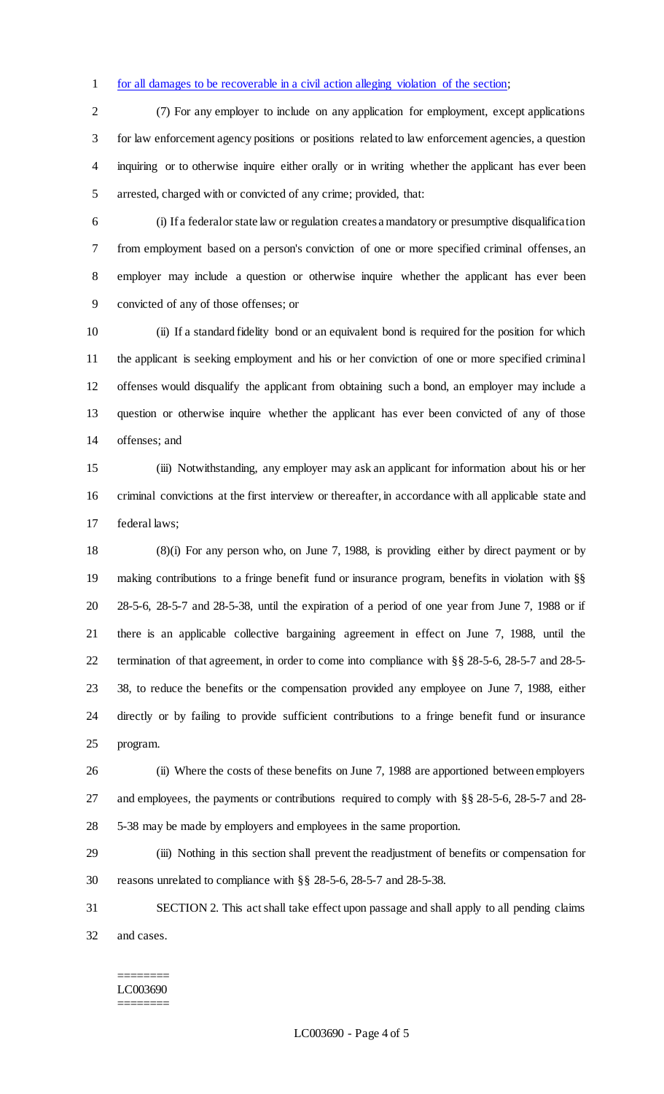#### 1 for all damages to be recoverable in a civil action alleging violation of the section;

 (7) For any employer to include on any application for employment, except applications for law enforcement agency positions or positions related to law enforcement agencies, a question inquiring or to otherwise inquire either orally or in writing whether the applicant has ever been arrested, charged with or convicted of any crime; provided, that:

 (i) If a federal or state law or regulation creates a mandatory or presumptive disqualification from employment based on a person's conviction of one or more specified criminal offenses, an employer may include a question or otherwise inquire whether the applicant has ever been convicted of any of those offenses; or

 (ii) If a standard fidelity bond or an equivalent bond is required for the position for which the applicant is seeking employment and his or her conviction of one or more specified criminal offenses would disqualify the applicant from obtaining such a bond, an employer may include a question or otherwise inquire whether the applicant has ever been convicted of any of those offenses; and

 (iii) Notwithstanding, any employer may ask an applicant for information about his or her criminal convictions at the first interview or thereafter, in accordance with all applicable state and federal laws;

 (8)(i) For any person who, on June 7, 1988, is providing either by direct payment or by making contributions to a fringe benefit fund or insurance program, benefits in violation with §§ 28-5-6, 28-5-7 and 28-5-38, until the expiration of a period of one year from June 7, 1988 or if there is an applicable collective bargaining agreement in effect on June 7, 1988, until the termination of that agreement, in order to come into compliance with §§ 28-5-6, 28-5-7 and 28-5- 38, to reduce the benefits or the compensation provided any employee on June 7, 1988, either directly or by failing to provide sufficient contributions to a fringe benefit fund or insurance program.

 (ii) Where the costs of these benefits on June 7, 1988 are apportioned between employers and employees, the payments or contributions required to comply with §§ 28-5-6, 28-5-7 and 28- 5-38 may be made by employers and employees in the same proportion.

 (iii) Nothing in this section shall prevent the readjustment of benefits or compensation for reasons unrelated to compliance with §§ 28-5-6, 28-5-7 and 28-5-38.

 SECTION 2. This act shall take effect upon passage and shall apply to all pending claims and cases.

#### ======== LC003690 ========